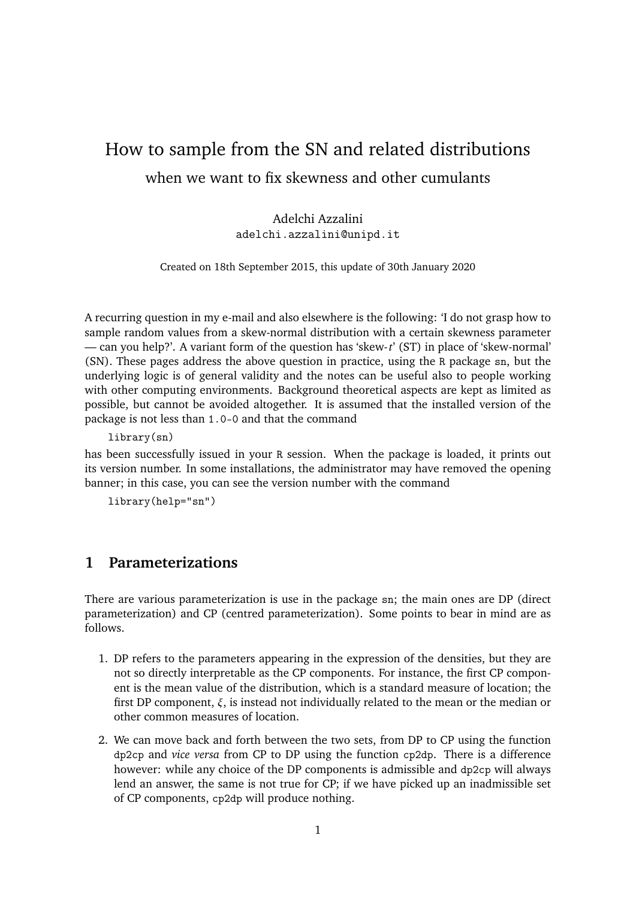# How to sample from the SN and related distributions when we want to fix skewness and other cumulants

Adelchi Azzalini adelchi.azzalini@unipd.it

Created on 18th September 2015, this update of 30th January 2020

A recurring question in my e-mail and also elsewhere is the following: 'I do not grasp how to sample random values from a skew-normal distribution with a certain skewness parameter — can you help?'. A variant form of the question has 'skew-*t*' (ST) in place of 'skew-normal' (SN). These pages address the above question in practice, using the R package sn, but the underlying logic is of general validity and the notes can be useful also to people working with other computing environments. Background theoretical aspects are kept as limited as possible, but cannot be avoided altogether. It is assumed that the installed version of the package is not less than 1.0-0 and that the command

library(sn)

has been successfully issued in your R session. When the package is loaded, it prints out its version number. In some installations, the administrator may have removed the opening banner; in this case, you can see the version number with the command

library(help="sn")

# **1 Parameterizations**

There are various parameterization is use in the package sn; the main ones are DP (direct parameterization) and CP (centred parameterization). Some points to bear in mind are as follows.

- 1. DP refers to the parameters appearing in the expression of the densities, but they are not so directly interpretable as the CP components. For instance, the first CP component is the mean value of the distribution, which is a standard measure of location; the first DP component, *ξ*, is instead not individually related to the mean or the median or other common measures of location.
- 2. We can move back and forth between the two sets, from DP to CP using the function dp2cp and *vice versa* from CP to DP using the function cp2dp. There is a difference however: while any choice of the DP components is admissible and dp2cp will always lend an answer, the same is not true for CP; if we have picked up an inadmissible set of CP components, cp2dp will produce nothing.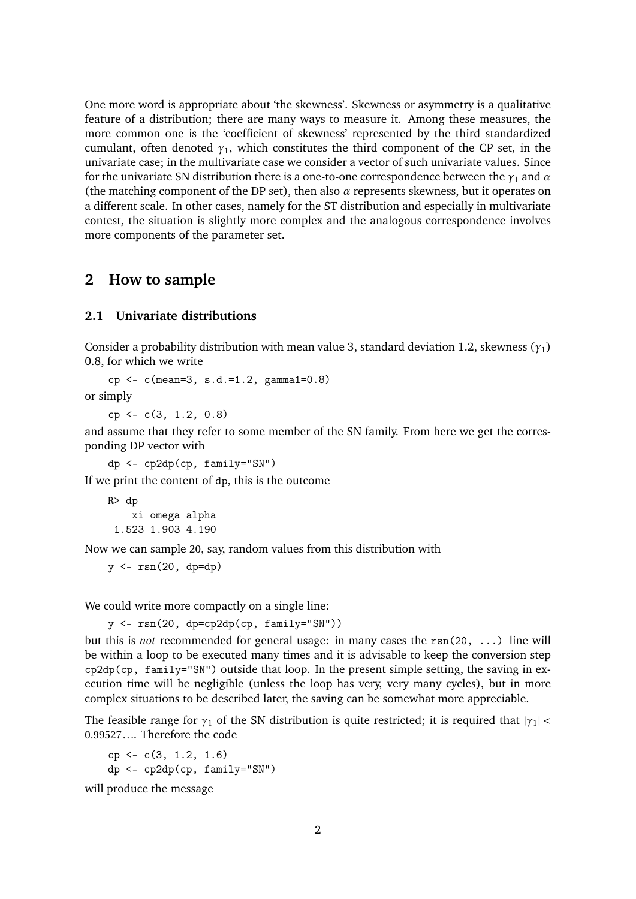One more word is appropriate about 'the skewness'. Skewness or asymmetry is a qualitative feature of a distribution; there are many ways to measure it. Among these measures, the more common one is the 'coefficient of skewness' represented by the third standardized cumulant, often denoted  $\gamma_1$ , which constitutes the third component of the CP set, in the univariate case; in the multivariate case we consider a vector of such univariate values. Since for the univariate SN distribution there is a one-to-one correspondence between the  $\gamma_1$  and  $\alpha$ (the matching component of the DP set), then also  $\alpha$  represents skewness, but it operates on a different scale. In other cases, namely for the ST distribution and especially in multivariate contest, the situation is slightly more complex and the analogous correspondence involves more components of the parameter set.

## **2 How to sample**

### **2.1 Univariate distributions**

Consider a probability distribution with mean value 3, standard deviation 1.2, skewness (*γ*1) 0.8, for which we write

cp <- c(mean=3, s.d.=1.2, gamma1=0.8)

or simply

cp <- c(3, 1.2, 0.8)

and assume that they refer to some member of the SN family. From here we get the corresponding DP vector with

dp <- cp2dp(cp, family="SN")

If we print the content of dp, this is the outcome

R> dp

xi omega alpha 1.523 1.903 4.190

Now we can sample 20, say, random values from this distribution with

```
y \leftarrow \text{rsn}(20, \text{ dp=dp})
```
We could write more compactly on a single line:

```
y <- rsn(20, dp=cp2dp(cp, family="SN"))
```
but this is *not* recommended for general usage: in many cases the rsn(20, ...) line will be within a loop to be executed many times and it is advisable to keep the conversion step cp2dp(cp, family="SN") outside that loop. In the present simple setting, the saving in execution time will be negligible (unless the loop has very, very many cycles), but in more complex situations to be described later, the saving can be somewhat more appreciable.

The feasible range for  $\gamma_1$  of the SN distribution is quite restricted; it is required that  $|\gamma_1|$  < 0.99527.... Therefore the code

 $cp \leftarrow c(3, 1.2, 1.6)$ dp <- cp2dp(cp, family="SN")

will produce the message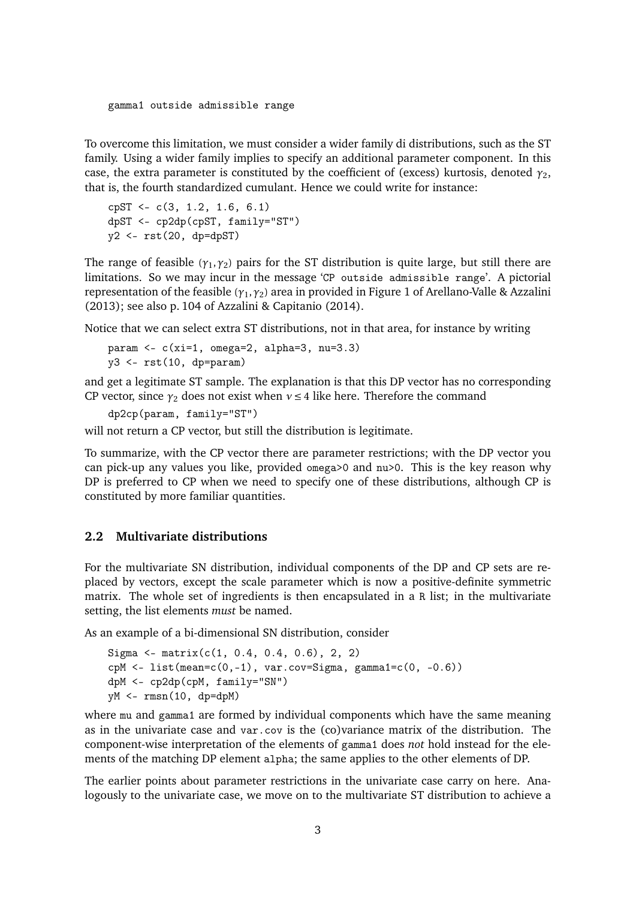#### gamma1 outside admissible range

To overcome this limitation, we must consider a wider family di distributions, such as the ST family. Using a wider family implies to specify an additional parameter component. In this case, the extra parameter is constituted by the coefficient of (excess) kurtosis, denoted *γ*2, that is, the fourth standardized cumulant. Hence we could write for instance:

```
cpST <- c(3, 1.2, 1.6, 6.1)
dpST <- cp2dp(cpST, family="ST")
y2 \leftarrow \text{rst}(20, \text{ dp=dpST})
```
The range of feasible ( $\gamma_1, \gamma_2$ ) pairs for the ST distribution is quite large, but still there are limitations. So we may incur in the message 'CP outside admissible range'. A pictorial representation of the feasible (*γ*1,*γ*2) area in provided in Figure 1 of Arellano-Valle & Azzalini (2013); see also p. 104 of Azzalini & Capitanio (2014).

Notice that we can select extra ST distributions, not in that area, for instance by writing

```
param \leq c(xi=1, \text{omega}=2, \text{alpha}=3, \text{nu}=3.3)y3 \leftarrow \text{rst}(10, \text{ dp=param})
```
and get a legitimate ST sample. The explanation is that this DP vector has no corresponding CP vector, since  $\gamma_2$  does not exist when  $v \leq 4$  like here. Therefore the command

dp2cp(param, family="ST")

will not return a CP vector, but still the distribution is legitimate.

To summarize, with the CP vector there are parameter restrictions; with the DP vector you can pick-up any values you like, provided omega>0 and nu>0. This is the key reason why DP is preferred to CP when we need to specify one of these distributions, although CP is constituted by more familiar quantities.

#### **2.2 Multivariate distributions**

For the multivariate SN distribution, individual components of the DP and CP sets are replaced by vectors, except the scale parameter which is now a positive-definite symmetric matrix. The whole set of ingredients is then encapsulated in a R list; in the multivariate setting, the list elements *must* be named.

As an example of a bi-dimensional SN distribution, consider

```
Sigma <- matrix(c(1, 0.4, 0.4, 0.6), 2, 2)cpM <- list(mean=c(0,-1), var.cov=Sigma, gamma1=c(0, -0.6))
dpM <- cp2dp(cpM, family="SN")
yM <- rmsn(10, dp=dpM)
```
where mu and gamma1 are formed by individual components which have the same meaning as in the univariate case and var.cov is the (co)variance matrix of the distribution. The component-wise interpretation of the elements of gamma1 does *not* hold instead for the elements of the matching DP element alpha; the same applies to the other elements of DP.

The earlier points about parameter restrictions in the univariate case carry on here. Analogously to the univariate case, we move on to the multivariate ST distribution to achieve a